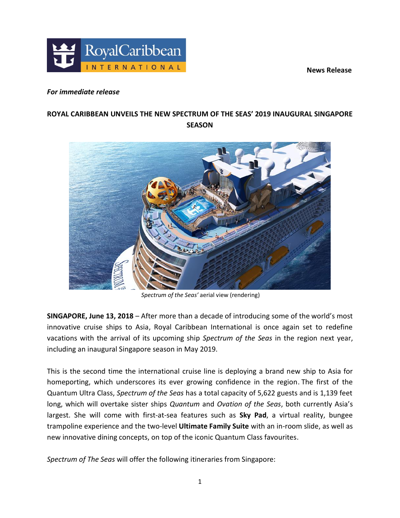**News Release** 



### *For immediate release*

# **ROYAL CARIBBEAN UNVEILS THE NEW SPECTRUM OF THE SEAS' 2019 INAUGURAL SINGAPORE SEASON**



*Spectrum of the Seas'* aerial view (rendering)

**SINGAPORE, June 13, 2018** – After more than a decade of introducing some of the world's most innovative cruise ships to Asia, Royal Caribbean International is once again set to redefine vacations with the arrival of its upcoming ship *Spectrum of the Seas* in the region next year, including an inaugural Singapore season in May 2019.

This is the second time the international cruise line is deploying a brand new ship to Asia for homeporting, which underscores its ever growing confidence in the region. The first of the Quantum Ultra Class, *Spectrum of the Seas* has a total capacity of 5,622 guests and is 1,139 feet long, which will overtake sister ships *Quantum* and *Ovation of the Seas*, both currently Asia's largest. She will come with first-at-sea features such as **Sky Pad**, a virtual reality, bungee trampoline experience and the two-level **Ultimate Family Suite** with an in-room slide, as well as new innovative dining concepts, on top of the iconic Quantum Class favourites.

*Spectrum of The Seas* will offer the following itineraries from Singapore: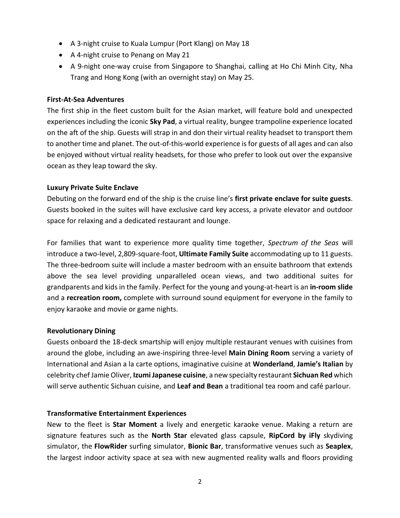- A 3-night cruise to Kuala Lumpur (Port Klang) on May 18
- A 4-night cruise to Penang on May 21
- A 9-night one-way cruise from Singapore to Shanghai, calling at Ho Chi Minh City, Nha Trang and Hong Kong (with an overnight stay) on May 25.

#### **First-At-Sea Adventures**

The first ship in the fleet custom built for the Asian market, will feature bold and unexpected experiences including the iconic **Sky Pad**, a virtual reality, bungee trampoline experience located on the aft of the ship. Guests will strap in and don their virtual reality headset to transport them to another time and planet. The out-of-this-world experience is for guests of all ages and can also be enjoyed without virtual reality headsets, for those who prefer to look out over the expansive ocean as they leap toward the sky.

### **Luxury Private Suite Enclave**

Debuting on the forward end of the ship is the cruise line's **first private enclave for suite guests**. Guests booked in the suites will have exclusive card key access, a private elevator and outdoor space for relaxing and a dedicated restaurant and lounge.

For families that want to experience more quality time together, *Spectrum of the Seas* will introduce a two-level, 2,809-square-foot, **Ultimate Family Suite** accommodating up to 11 guests. The three-bedroom suite will include a master bedroom with an ensuite bathroom that extends above the sea level providing unparalleled ocean views, and two additional suites for grandparents and kids in the family. Perfect for the young and young-at-heart is an **in-room slide** and a **recreation room,** complete with surround sound equipment for everyone in the family to enjoy karaoke and movie or game nights.

## **Revolutionary Dining**

Guests onboard the 18-deck smartship will enjoy multiple restaurant venues with cuisines from around the globe, including an awe-inspiring three-level **Main Dining Room** serving a variety of International and Asian a la carte options, imaginative cuisine at **Wonderland**, **Jamie's Italian** by celebrity chef Jamie Oliver, **Izumi Japanese cuisine**, a new specialty restaurant **Sichuan Red** which will serve authentic Sichuan cuisine, and **Leaf and Bean** a traditional tea room and café parlour.

## **Transformative Entertainment Experiences**

New to the fleet is **Star Moment** a lively and energetic karaoke venue. Making a return are signature features such as the **North Star** elevated glass capsule, **RipCord by iFly** skydiving simulator, the **FlowRider** surfing simulator, **Bionic Bar**, transformative venues such as **Seaplex**, the largest indoor activity space at sea with new augmented reality walls and floors providing